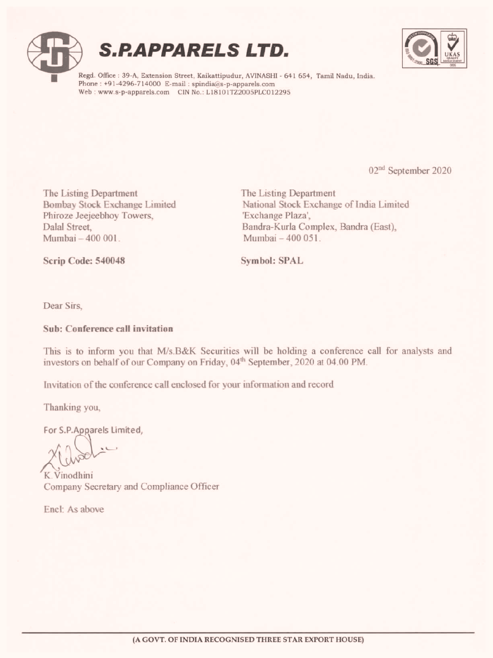





Regd. Office : 39-A, Extension Street, Kaikattipudur, AVINASHI - 641 654, Tamil Nadu, India. Phone : +91-4296-714000 E-mail : spindia@s-p-apparels.com Web : www.s-p-apparels.com CIN No.: L18101TZ2005PLC012295

02<sup>nd</sup> September 2020

ķ

The Listing Department Bombay Stock Exchange Limited Phiroze Jeejeebhoy Towers, Dalal Street, Mumbai — 400 001. The Listing Department<br>
Bombay Sock Exchange Elmited<br>
Munbai –400 001.<br>
Thiroze Jeejeebhoy Towers,<br>
Dalal Street,<br>
Dalal Street, Bandra-Kutha Complex, Bandra-Aforonical Stock Exchange Plaza',<br>
Mumbai –400 001.<br>
Serip Code:

The Listing Department National Stock Exchange of India Limited 'Exchange Plaza', Bandra-Kurla Complex, Bandra (East), Mumbai — 400 051

Scrip Code: 540048

Symbol: SPAL

Dear Sirs,

#### Sub: Conference call invitation

This is to inform you that M/s.B&K Securities will be holding a conference call for analysts and investors on behalf of our Company on Friday, 04" September, 2020 at 04.00 PM.

Invitation of the conference call enclosed for your information and record

Thanking you,

For S.P.Apparels Limited,

oe

K.Vinodhini Company Secretary and Compliance Officer

Encl: As above